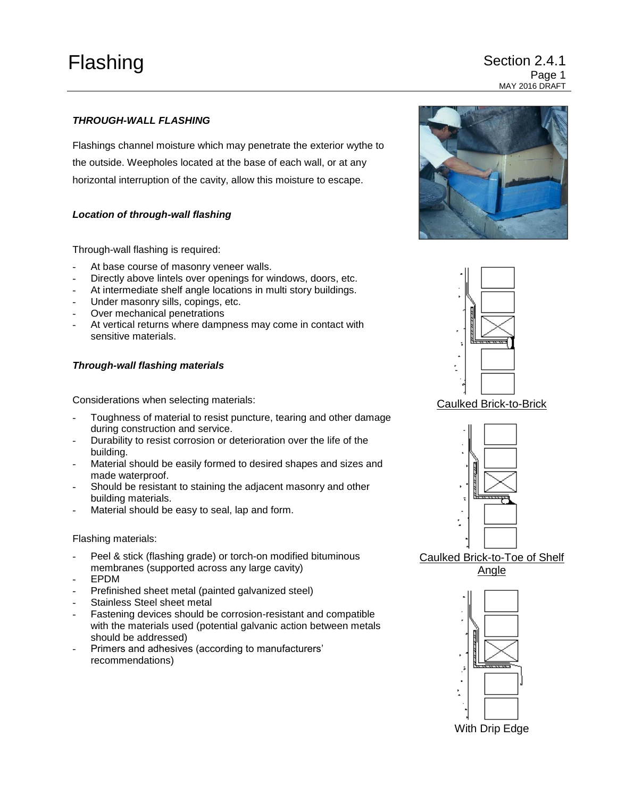# Flashing Section 2.4.1 Page 1 MAY 2016 DRAFT

# *THROUGH-WALL FLASHING*

Flashings channel moisture which may penetrate the exterior wythe to the outside. Weepholes located at the base of each wall, or at any horizontal interruption of the cavity, allow this moisture to escape.

## *Location of through-wall flashing*

Through-wall flashing is required:

- At base course of masonry veneer walls.
- Directly above lintels over openings for windows, doors, etc.
- At intermediate shelf angle locations in multi story buildings.
- Under masonry sills, copings, etc.
- Over mechanical penetrations
- At vertical returns where dampness may come in contact with sensitive materials.

## *Through-wall flashing materials*

Considerations when selecting materials:

- Toughness of material to resist puncture, tearing and other damage during construction and service.
- Durability to resist corrosion or deterioration over the life of the building.
- Material should be easily formed to desired shapes and sizes and made waterproof.
- Should be resistant to staining the adjacent masonry and other building materials.
- Material should be easy to seal, lap and form.

#### Flashing materials:

- Peel & stick (flashing grade) or torch-on modified bituminous membranes (supported across any large cavity)
- EPDM
- Prefinished sheet metal (painted galvanized steel)
- Stainless Steel sheet metal
- Fastening devices should be corrosion-resistant and compatible with the materials used (potential galvanic action between metals should be addressed)
- Primers and adhesives (according to manufacturers' recommendations)





Caulked Brick-to-Brick



Caulked Brick-to-Toe of Shelf Angle



With Drip Edge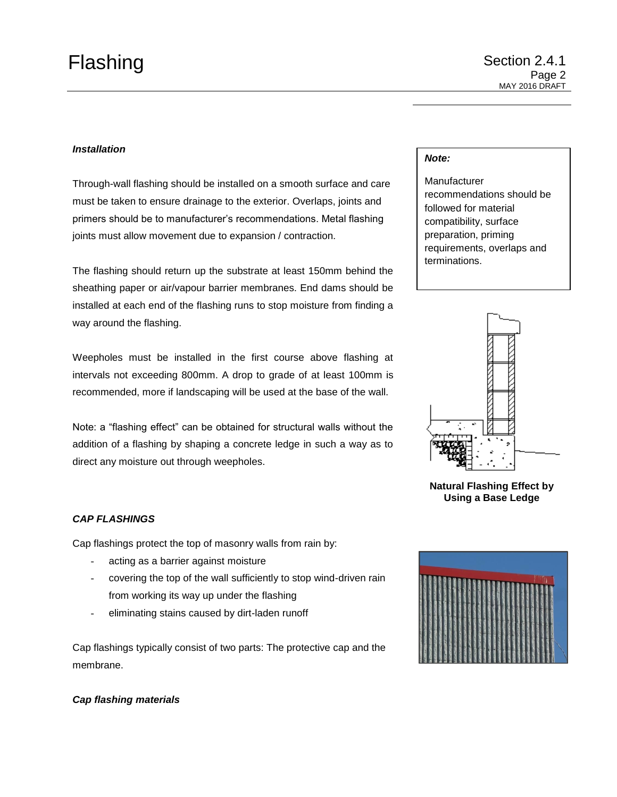## *Installation*

Through-wall flashing should be installed on a smooth surface and care must be taken to ensure drainage to the exterior. Overlaps, joints and primers should be to manufacturer's recommendations. Metal flashing joints must allow movement due to expansion / contraction.

The flashing should return up the substrate at least 150mm behind the sheathing paper or air/vapour barrier membranes. End dams should be installed at each end of the flashing runs to stop moisture from finding a way around the flashing.

Weepholes must be installed in the first course above flashing at intervals not exceeding 800mm. A drop to grade of at least 100mm is recommended, more if landscaping will be used at the base of the wall.

Note: a "flashing effect" can be obtained for structural walls without the addition of a flashing by shaping a concrete ledge in such a way as to direct any moisture out through weepholes.

# *Note:*

**Manufacturer** recommendations should be followed for material compatibility, surface preparation, priming requirements, overlaps and terminations.



**Natural Flashing Effect by Using a Base Ledge**

## *CAP FLASHINGS*

Cap flashings protect the top of masonry walls from rain by:

- acting as a barrier against moisture
- covering the top of the wall sufficiently to stop wind-driven rain from working its way up under the flashing
- eliminating stains caused by dirt-laden runoff

Cap flashings typically consist of two parts: The protective cap and the membrane.



## *Cap flashing materials*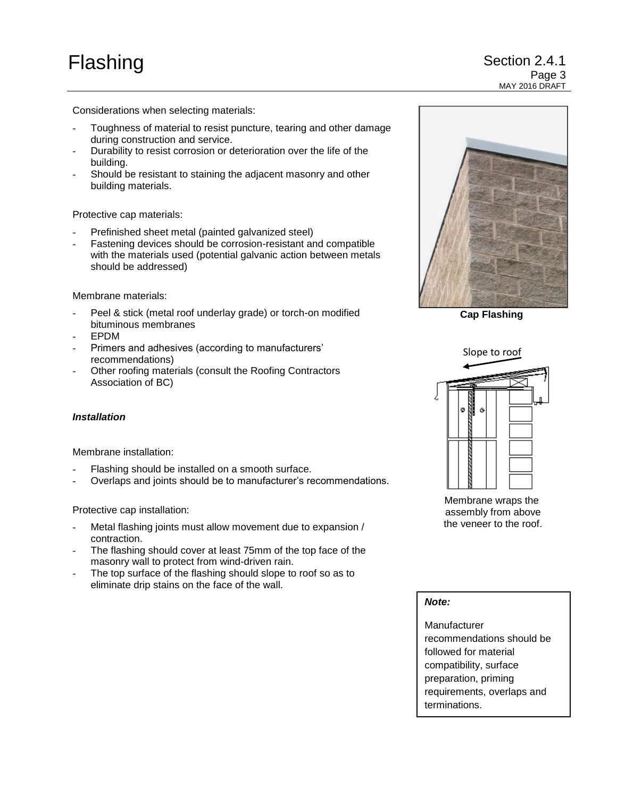Considerations when selecting materials:

- Toughness of material to resist puncture, tearing and other damage during construction and service.
- Durability to resist corrosion or deterioration over the life of the building.
- Should be resistant to staining the adjacent masonry and other building materials.

Protective cap materials:

- Prefinished sheet metal (painted galvanized steel)
- Fastening devices should be corrosion-resistant and compatible with the materials used (potential galvanic action between metals should be addressed)

Membrane materials:

- Peel & stick (metal roof underlay grade) or torch-on modified bituminous membranes
- EPDM
- Primers and adhesives (according to manufacturers' recommendations)
- Other roofing materials (consult the Roofing Contractors Association of BC)

## *Installation*

Membrane installation:

- Flashing should be installed on a smooth surface.
- Overlaps and joints should be to manufacturer's recommendations.

Protective cap installation:

- Metal flashing joints must allow movement due to expansion / contraction.
- The flashing should cover at least 75mm of the top face of the masonry wall to protect from wind-driven rain.
- The top surface of the flashing should slope to roof so as to eliminate drip stains on the face of the wall.



**Cap Flashing**



Membrane wraps the assembly from above the veneer to the roof.

*Note:*

Manufacturer recommendations should be followed for material compatibility, surface preparation, priming requirements, overlaps and terminations.